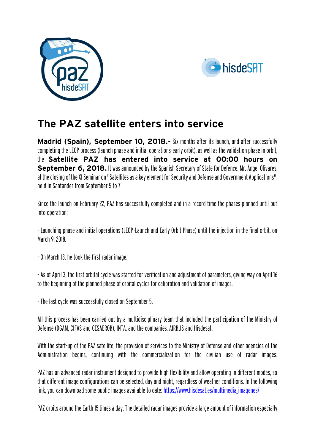



## **The PAZ satellite enters into service**

**Madrid (Spain), September 10, 2018.** Six months after its launch, and after successfully completing the LEOP process (launch phase and initial operations-early orbit), as well as the validation phase in orbit, the **Satellite PAZ has entered into service at 00:00 hours on September 6, 2018.** It was announced by the Spanish Secretary of State for Defence, Mr. Ángel Olivares, at the closing of the XI Seminar on "Satellites as a key element for Security and Defense and Government Applications", held in Santander from September 5 to 7.

Since the launch on February 22, PAZ has successfully completed and in a record time the phases planned until put into operation:

- Launching phase and initial operations (LEOP-Launch and Early Orbit Phase) until the injection in the final orbit, on March 9, 2018.

-On March 13, he took the first radar image.

-As of April 3, the first orbital cycle was started for verification and adjustment of parameters, giving way on April 16 to the beginning of the planned phase of orbital cycles for calibration and validation of images.

- The last cycle was successfully closed on September 5.

All this process has been carried out by a multidisciplinary team that included the participation of the Ministry of Defense (DGAM, CIFAS and CESAEROB), INTA, and the companies, AIRBUS and Hisdesat.

With the start-up of the PAZ satellite, the provision of services to the Ministry of Defense and other agencies of the Administration begins, continuing with the commercialization for the civilian use of radar images.

PAZ has an advanced radar instrument designed to provide high flexibility and allow operating in different modes, so that different image configurations can be selected, day and night, regardless of weather conditions. In the following link, you can download some public images available to date: [https://www.hisdesat.es/multimedia\\_imagenes/](https://www.hisdesat.es/multimedia_imagenes/)

PAZ orbits around the Earth 15 times a day. The detailed radar images provide a large amount of information especially